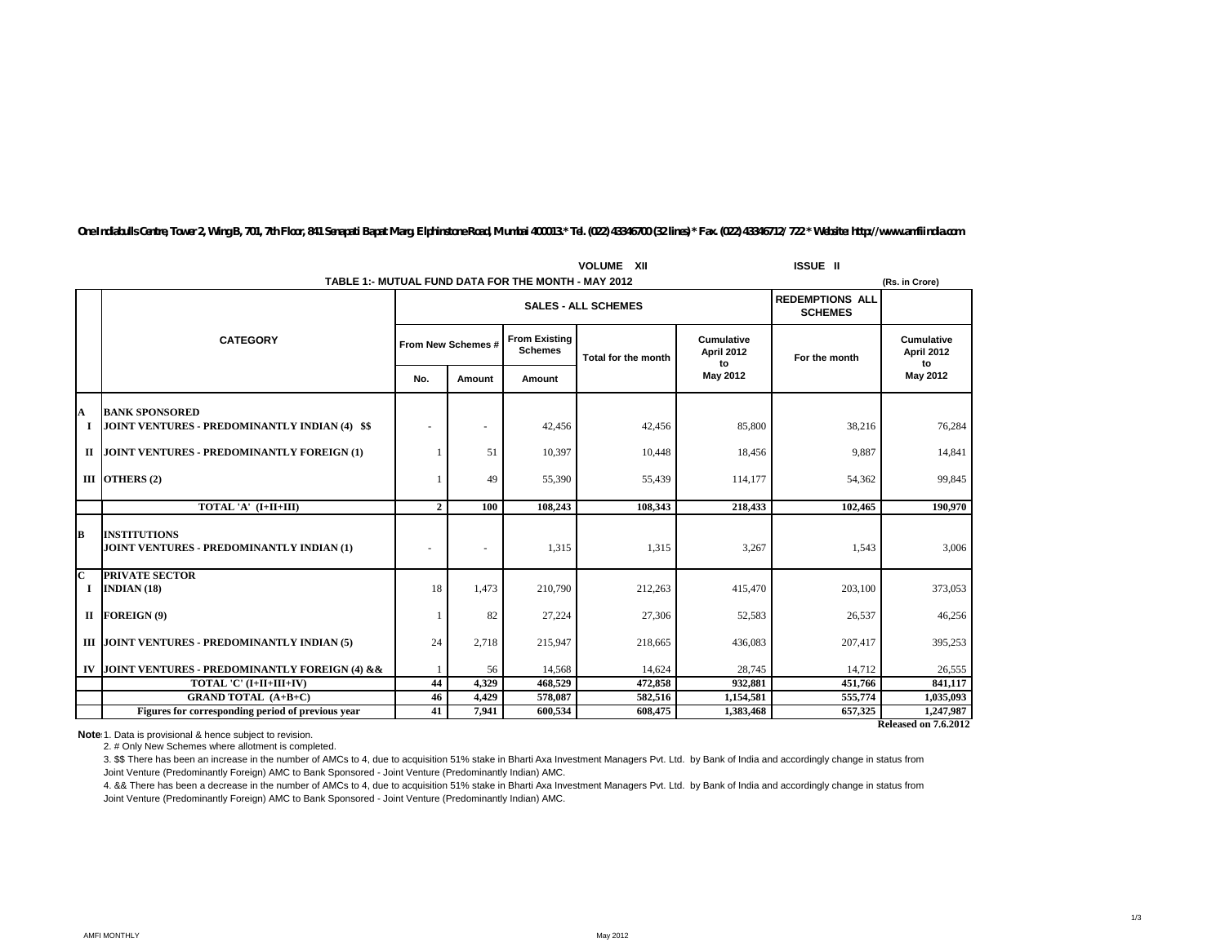| <b>VOLUME XII</b>             |                                                                  |                |                    |                                                     |                                          |                                              | <b>ISSUE II</b> |                                |
|-------------------------------|------------------------------------------------------------------|----------------|--------------------|-----------------------------------------------------|------------------------------------------|----------------------------------------------|-----------------|--------------------------------|
|                               |                                                                  |                |                    | TABLE 1:- MUTUAL FUND DATA FOR THE MONTH - MAY 2012 |                                          |                                              |                 | (Rs. in Crore)                 |
|                               |                                                                  |                |                    | <b>SALES - ALL SCHEMES</b>                          | <b>REDEMPTIONS ALL</b><br><b>SCHEMES</b> |                                              |                 |                                |
|                               | <b>CATEGORY</b>                                                  |                | From New Schemes # | <b>From Existing</b><br><b>Schemes</b>              | Total for the month                      | <b>Cumulative</b><br><b>April 2012</b><br>to | For the month   | Cumulative<br>April 2012<br>to |
|                               |                                                                  | No.            | Amount             | Amount                                              |                                          | May 2012                                     |                 | May 2012                       |
| A                             | <b>BANK SPONSORED</b>                                            |                |                    |                                                     |                                          |                                              |                 |                                |
|                               | JOINT VENTURES - PREDOMINANTLY INDIAN (4) \$\$                   |                | ٠                  | 42,456                                              | 42,456                                   | 85,800                                       | 38,216          | 76,284                         |
| П                             | JOINT VENTURES - PREDOMINANTLY FOREIGN (1)                       |                | 51                 | 10,397                                              | 10,448                                   | 18,456                                       | 9,887           | 14,841                         |
|                               | III OTHERS (2)                                                   |                | 49                 | 55,390                                              | 55,439                                   | 114,177                                      | 54,362          | 99,845                         |
|                               | TOTAL 'A' (I+II+III)                                             | $\overline{2}$ | 100                | 108,243                                             | 108,343                                  | 218,433                                      | 102,465         | 190,970                        |
| B                             | <b>INSTITUTIONS</b><br>JOINT VENTURES - PREDOMINANTLY INDIAN (1) | $\blacksquare$ | ۰                  | 1,315                                               | 1,315                                    | 3,267                                        | 1.543           | 3,006                          |
| $\overline{\mathbf{c}}$<br>п. | <b>PRIVATE SECTOR</b><br><b>INDIAN (18)</b>                      | 18             | 1,473              | 210,790                                             | 212,263                                  | 415,470                                      | 203,100         | 373,053                        |
|                               | II FOREIGN (9)                                                   |                | 82                 | 27,224                                              | 27,306                                   | 52,583                                       | 26,537          | 46,256                         |
|                               | III JOINT VENTURES - PREDOMINANTLY INDIAN (5)                    | 24             | 2,718              | 215,947                                             | 218,665                                  | 436,083                                      | 207,417         | 395,253                        |
|                               | IV JOINT VENTURES - PREDOMINANTLY FOREIGN (4) & &                |                | 56                 | 14,568                                              | 14,624                                   | 28,745                                       | 14,712          | 26,555                         |
|                               | TOTAL 'C' (I+II+III+IV)                                          | 44             | 4,329              | 468,529                                             | 472,858                                  | 932,881                                      | 451,766         | 841,117                        |
|                               | <b>GRAND TOTAL (A+B+C)</b>                                       | 46             | 4,429              | 578,087                                             | 582,516                                  | 1,154,581                                    | 555,774         | 1,035,093                      |
|                               | Figures for corresponding period of previous year                | 41             | 7.941              | 600.534                                             | 608,475                                  | 1,383,468                                    | 657.325         | 1,247,987                      |
|                               | <b>Released on 7.6.2012</b>                                      |                |                    |                                                     |                                          |                                              |                 |                                |

*One Indiabulls Centre, Tower 2, Wing B, 701, 7th Floor, 841 Senapati Bapat Marg, Elphinstone Road, Mumbai 400013.\* Tel. (022) 43346700 (32 lines) \* Fax. (022) 43346712/ 722 \* Website: http://www.amfiindia.com*

**Note** 1. Data is provisional & hence subject to revision.

2. # Only New Schemes where allotment is completed.

3. \$\$ There has been an increase in the number of AMCs to 4, due to acquisition 51% stake in Bharti Axa Investment Managers Pvt. Ltd. by Bank of India and accordingly change in status from Joint Venture (Predominantly Foreign) AMC to Bank Sponsored - Joint Venture (Predominantly Indian) AMC.

4. && There has been a decrease in the number of AMCs to 4, due to acquisition 51% stake in Bharti Axa Investment Managers Pvt. Ltd. by Bank of India and accordingly change in status from Joint Venture (Predominantly Foreign) AMC to Bank Sponsored - Joint Venture (Predominantly Indian) AMC.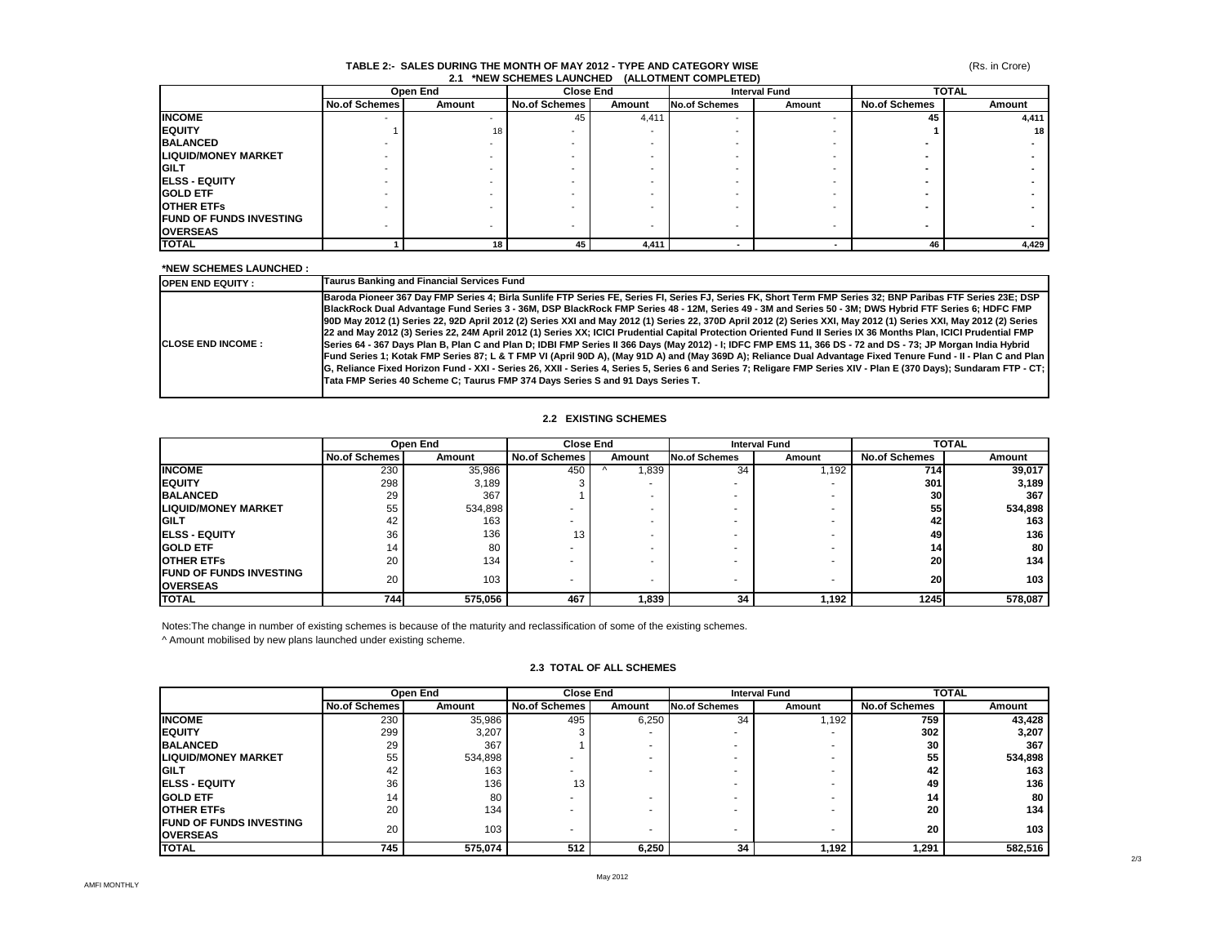#### **TABLE 2:- SALES DURING THE MONTH OF MAY 2012 - TYPE AND CATEGORY WISE 2.1 \*NEW SCHEMES LAUNCHED (ALLOTMENT COMPLETED)**

|                                | Open End      |        | <b>Close End</b>     |        | <b>Interval Fund</b> |        | <b>TOTAL</b>         |        |
|--------------------------------|---------------|--------|----------------------|--------|----------------------|--------|----------------------|--------|
|                                | No.of Schemes | Amount | <b>No.of Schemes</b> | Amount | <b>No.of Schemes</b> | Amount | <b>No.of Schemes</b> | Amount |
| <b>INCOME</b>                  |               |        | 45                   | 4,411  |                      |        | 45                   | 4,411  |
| <b>EQUITY</b>                  |               | 18     |                      |        |                      |        |                      | 18 I   |
| <b>BALANCED</b>                |               |        |                      |        |                      |        |                      |        |
| <b>LIQUID/MONEY MARKET</b>     |               |        |                      |        |                      |        |                      |        |
| <b>IGILT</b>                   |               |        |                      |        |                      |        |                      |        |
| <b>ELSS - EQUITY</b>           |               |        |                      |        |                      |        |                      |        |
| <b>GOLD ETF</b>                |               |        |                      |        |                      |        |                      |        |
| <b>OTHER ETFS</b>              |               |        |                      |        |                      |        |                      |        |
| <b>FUND OF FUNDS INVESTING</b> |               |        |                      |        |                      |        |                      |        |
| <b>OVERSEAS</b>                |               |        |                      |        |                      |        |                      |        |
| <b>TOTAL</b>                   |               | 18     | 45                   | 4,411  |                      |        | 46                   | 4,429  |

#### **\*NEW SCHEMES LAUNCHED :**

| <b>IOPEN END EQUITY:</b>   | Taurus Banking and Financial Services Fund                                                                                                                                                                                                                                                                                                                                                                                                                                                                                                                                                                                                                                                                                                                                                                                                                                                                                                                                                                                                                                                                                                                                                                                                                   |
|----------------------------|--------------------------------------------------------------------------------------------------------------------------------------------------------------------------------------------------------------------------------------------------------------------------------------------------------------------------------------------------------------------------------------------------------------------------------------------------------------------------------------------------------------------------------------------------------------------------------------------------------------------------------------------------------------------------------------------------------------------------------------------------------------------------------------------------------------------------------------------------------------------------------------------------------------------------------------------------------------------------------------------------------------------------------------------------------------------------------------------------------------------------------------------------------------------------------------------------------------------------------------------------------------|
| <b>ICLOSE END INCOME :</b> | Baroda Pioneer 367 Day FMP Series 4; Birla Sunlife FTP Series FE, Series FI, Series FJ, Series FK, Short Term FMP Series 32; BNP Paribas FTF Series 23E; DSP<br>BlackRock Dual Advantage Fund Series 3 - 36M, DSP BlackRock FMP Series 48 - 12M, Series 49 - 3M and Series 50 - 3M; DWS Hybrid FTF Series 6; HDFC FMP<br>900 May 2012 (1) Series 22, 92D April 2012 (2) Series XXI and May 2012 (1) Series 22, 370D April 2012 (2) Series XXI, May 2012 (1) Series XXI, May 2012 (2) Series<br>22 and May 2012 (3) Series 22, 24M April 2012 (1) Series XX; ICICI Prudential Capital Protection Oriented Fund II Series IX 36 Months Plan, ICICI Prudential FMP<br>Series 64 - 367 Days Plan B, Plan C and Plan D; IDBI FMP Series II 366 Days (May 2012) - I; IDFC FMP EMS 11, 366 DS - 72 and DS - 73; JP Morgan India Hybrid<br>Fund Series 1; Kotak FMP Series 87; L & T FMP VI (April 90D A), (May 91D A) and (May 369D A); Reliance Dual Advantage Fixed Tenure Fund - II - Plan C and Plan<br>IG, Reliance Fixed Horizon Fund - XXI - Series 26, XXII - Series 4, Series 5, Series 6 and Series 7; Religare FMP Series XIV - Plan E (370 Days); Sundaram FTP - CT;<br>Tata FMP Series 40 Scheme C: Taurus FMP 374 Davs Series S and 91 Davs Series T. |

## **2.2 EXISTING SCHEMES**

|                                | Open End             |         | <b>Close End</b>     |        |                      | <b>Interval Fund</b>     |                      | <b>TOTAL</b> |
|--------------------------------|----------------------|---------|----------------------|--------|----------------------|--------------------------|----------------------|--------------|
|                                | <b>No.of Schemes</b> | Amount  | <b>No.of Schemes</b> | Amount | <b>No.of Schemes</b> | Amount                   | <b>No.of Schemes</b> | Amount       |
| <b>INCOME</b>                  | 230                  | 35,986  | 450                  | ,839   | 34                   | .192                     | 714 I                | 39,017       |
| <b>IEQUITY</b>                 | 298                  | 3,189   |                      |        |                      | $\overline{\phantom{a}}$ | 301                  | 3,189        |
| <b>BALANCED</b>                | 29                   | 367     |                      |        |                      |                          | <b>30</b>            | 367          |
| <b>LIQUID/MONEY MARKET</b>     | 55                   | 534,898 |                      |        | ۰                    |                          | 55                   | 534,898      |
| <b>IGILT</b>                   | 42                   | 163     |                      |        |                      |                          | 42                   | 163          |
| <b>IELSS - EQUITY</b>          | 36                   | 136     | 13                   |        | ۰                    |                          | 49                   | 136          |
| <b>IGOLD ETF</b>               | 14                   | 80      |                      | -      | ۰                    |                          | 14                   | 80           |
| <b>IOTHER ETFS</b>             | 20                   | 134     |                      |        | ۰                    |                          | <b>20</b>            | 134          |
| <b>FUND OF FUNDS INVESTING</b> | 20                   | 103     |                      | -      |                      |                          | <b>20</b>            | 103          |
| <b>OVERSEAS</b>                |                      |         |                      |        |                      |                          |                      |              |
| <b>TOTAL</b>                   | 744                  | 575,056 | 467                  | 839،،  | 34                   | 1,192                    | 1245                 | 578,087      |

Notes:The change in number of existing schemes is because of the maturity and reclassification of some of the existing schemes.

^ Amount mobilised by new plans launched under existing scheme.

|                                | Open End             |         |                      | <b>Close End</b> | <b>Interval Fund</b> |        | <b>TOTAL</b>         |         |
|--------------------------------|----------------------|---------|----------------------|------------------|----------------------|--------|----------------------|---------|
|                                | <b>No.of Schemes</b> | Amount  | <b>No.of Schemes</b> | Amount           | <b>No.of Schemes</b> | Amount | <b>No.of Schemes</b> | Amount  |
| <b>INCOME</b>                  | 230                  | 35,986  | 495                  | 6,250            | 34                   | 1,192  | 759                  | 43,428  |
| <b>IEQUITY</b>                 | 299                  | 3,207   |                      | ۰                |                      |        | 302                  | 3,207   |
| <b>BALANCED</b>                | 29                   | 367     |                      |                  |                      |        | 30                   | 367     |
| <b>LIQUID/MONEY MARKET</b>     | 55                   | 534,898 |                      |                  |                      |        | 55                   | 534,898 |
| <b>IGILT</b>                   | 42                   | 163     |                      |                  |                      |        | 42                   | 163     |
| <b>IELSS - EQUITY</b>          | 36                   | 136     | 13                   |                  |                      |        | 49                   | 136     |
| <b>GOLD ETF</b>                | 14                   | 80      |                      |                  |                      |        | 14                   | 80      |
| <b>OTHER ETFS</b>              | 20                   | 134     |                      |                  |                      |        | 20                   | 134     |
| <b>FUND OF FUNDS INVESTING</b> | 20                   | 103     |                      |                  |                      |        | 20                   | 103     |
| <b>OVERSEAS</b>                |                      |         |                      |                  |                      |        |                      |         |
| <b>ITOTAL</b>                  | 745                  | 575,074 | 512                  | 6,250            | 34                   | 1,192  | 1,291                | 582.516 |

### **2.3 TOTAL OF ALL SCHEMES**